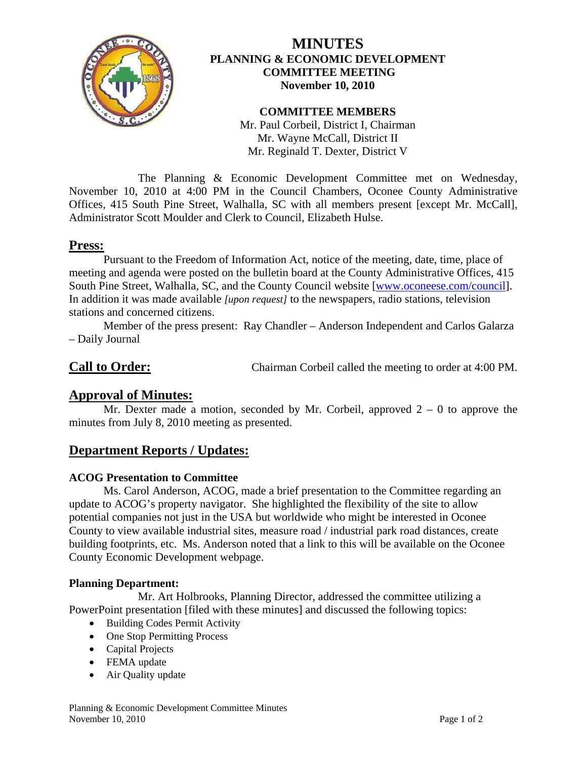

# **MINUTES PLANNING & ECONOMIC DEVELOPMENT COMMITTEE MEETING November 10, 2010**

### **COMMITTEE MEMBERS**

Mr. Paul Corbeil, District I, Chairman Mr. Wayne McCall, District II Mr. Reginald T. Dexter, District V

 The Planning & Economic Development Committee met on Wednesday, November 10, 2010 at 4:00 PM in the Council Chambers, Oconee County Administrative Offices, 415 South Pine Street, Walhalla, SC with all members present [except Mr. McCall], Administrator Scott Moulder and Clerk to Council, Elizabeth Hulse.

## **Press:**

 Pursuant to the Freedom of Information Act, notice of the meeting, date, time, place of meeting and agenda were posted on the bulletin board at the County Administrative Offices, 415 South Pine Street, Walhalla, SC, and the County Council website [\[www.oconeese.com/council\]](http://www.oconeese.com/council). In addition it was made available *[upon request]* to the newspapers, radio stations, television stations and concerned citizens.

Member of the press present: Ray Chandler – Anderson Independent and Carlos Galarza – Daily Journal

**Call to Order:** Chairman Corbeil called the meeting to order at 4:00 PM.

# **Approval of Minutes:**

Mr. Dexter made a motion, seconded by Mr. Corbeil, approved  $2 - 0$  to approve the minutes from July 8, 2010 meeting as presented.

# **Department Reports / Updates:**

## **ACOG Presentation to Committee**

 Ms. Carol Anderson, ACOG, made a brief presentation to the Committee regarding an update to ACOG's property navigator. She highlighted the flexibility of the site to allow potential companies not just in the USA but worldwide who might be interested in Oconee County to view available industrial sites, measure road / industrial park road distances, create building footprints, etc. Ms. Anderson noted that a link to this will be available on the Oconee County Economic Development webpage.

#### **Planning Department:**

 Mr. Art Holbrooks, Planning Director, addressed the committee utilizing a PowerPoint presentation [filed with these minutes] and discussed the following topics:

- Building Codes Permit Activity
- One Stop Permitting Process
- Capital Projects
- FEMA update
- Air Quality update